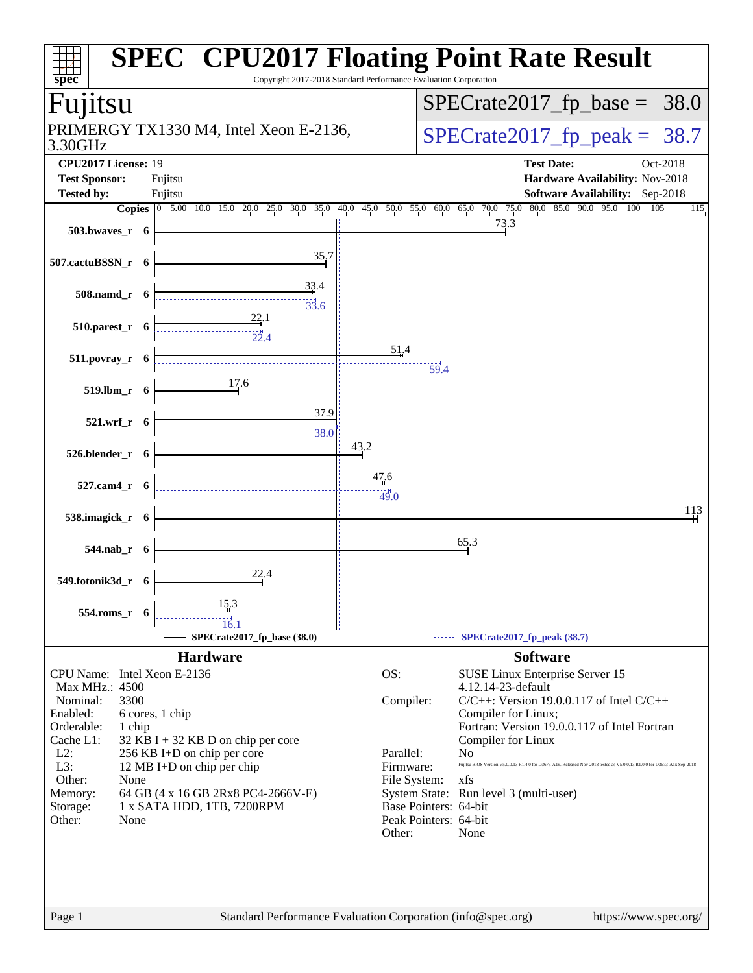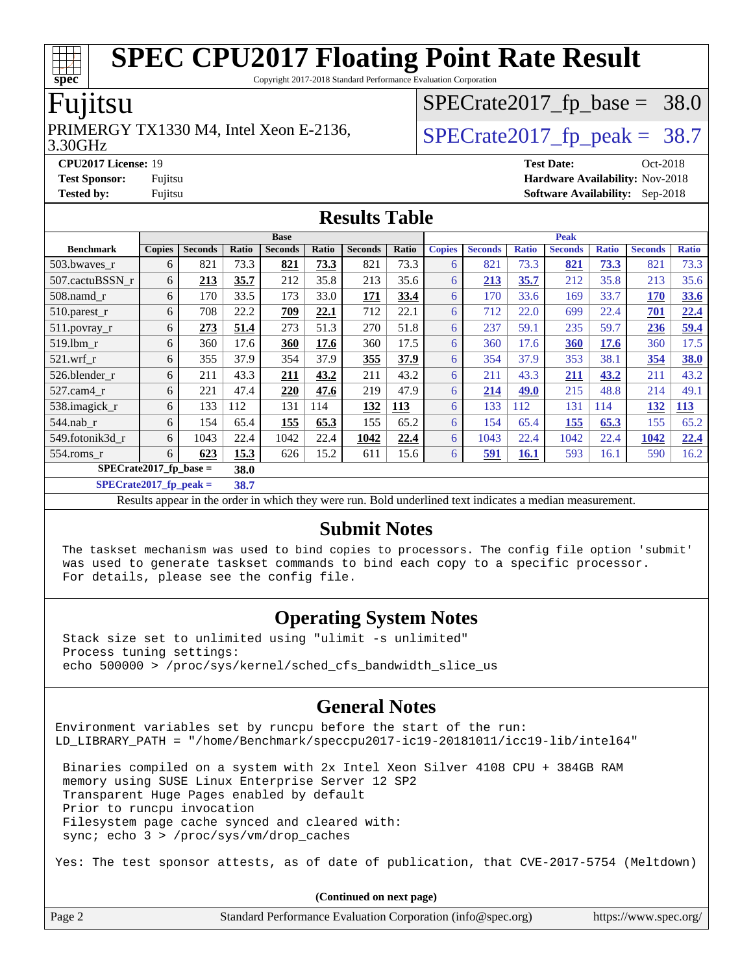Copyright 2017-2018 Standard Performance Evaluation Corporation

### Fujitsu

#### 3.30GHz PRIMERGY TX1330 M4, Intel Xeon E-2136,  $\vert$ [SPECrate2017\\_fp\\_peak =](http://www.spec.org/auto/cpu2017/Docs/result-fields.html#SPECrate2017fppeak) 38.7

 $SPECTate2017_fp\_base = 38.0$ 

**[CPU2017 License:](http://www.spec.org/auto/cpu2017/Docs/result-fields.html#CPU2017License)** 19 **[Test Date:](http://www.spec.org/auto/cpu2017/Docs/result-fields.html#TestDate)** Oct-2018 **[Test Sponsor:](http://www.spec.org/auto/cpu2017/Docs/result-fields.html#TestSponsor)** Fujitsu **[Hardware Availability:](http://www.spec.org/auto/cpu2017/Docs/result-fields.html#HardwareAvailability)** Nov-2018 **[Tested by:](http://www.spec.org/auto/cpu2017/Docs/result-fields.html#Testedby)** Fujitsu **[Software Availability:](http://www.spec.org/auto/cpu2017/Docs/result-fields.html#SoftwareAvailability)** Sep-2018

#### **[Results Table](http://www.spec.org/auto/cpu2017/Docs/result-fields.html#ResultsTable)**

| <b>Base</b>                      |               |                |       |                |       | <b>Peak</b>    |       |               |                |              |                |              |                |              |
|----------------------------------|---------------|----------------|-------|----------------|-------|----------------|-------|---------------|----------------|--------------|----------------|--------------|----------------|--------------|
| <b>Benchmark</b>                 | <b>Copies</b> | <b>Seconds</b> | Ratio | <b>Seconds</b> | Ratio | <b>Seconds</b> | Ratio | <b>Copies</b> | <b>Seconds</b> | <b>Ratio</b> | <b>Seconds</b> | <b>Ratio</b> | <b>Seconds</b> | <b>Ratio</b> |
| 503.bwaves_r                     | 6             | 821            | 73.3  | 821            | 73.3  | 821            | 73.3  | 6             | 821            | 73.3         | 821            | 73.3         | 821            | 73.3         |
| 507.cactuBSSN r                  | 6             | 213            | 35.7  | 212            | 35.8  | 213            | 35.6  | 6             | 213            | 35.7         | 212            | 35.8         | 213            | 35.6         |
| 508.namd_r                       | 6             | 170            | 33.5  | 173            | 33.0  | 171            | 33.4  | 6             | 170            | 33.6         | 169            | 33.7         | 170            | 33.6         |
| 510.parest_r                     | 6             | 708            | 22.2  | 709            | 22.1  | 712            | 22.1  | 6             | 712            | 22.0         | 699            | 22.4         | 701            | 22.4         |
| 511.povray_r                     | 6             | 273            | 51.4  | 273            | 51.3  | 270            | 51.8  | 6             | 237            | 59.1         | 235            | 59.7         | 236            | 59.4         |
| 519.1bm r                        | 6             | 360            | 17.6  | 360            | 17.6  | 360            | 17.5  | 6             | 360            | 17.6         | 360            | 17.6         | 360            | 17.5         |
| $521$ .wrf r                     | 6             | 355            | 37.9  | 354            | 37.9  | 355            | 37.9  | 6             | 354            | 37.9         | 353            | 38.1         | 354            | 38.0         |
| 526.blender r                    | 6             | 211            | 43.3  | 211            | 43.2  | 211            | 43.2  | 6             | 211            | 43.3         | <u>211</u>     | 43.2         | 211            | 43.2         |
| 527.cam4 r                       | 6             | 221            | 47.4  | 220            | 47.6  | 219            | 47.9  | 6             | 214            | 49.0         | 215            | 48.8         | 214            | 49.1         |
| 538.imagick_r                    | 6             | 133            | 112   | 131            | 114   | 132            | 113   | 6             | 133            | 112          | 131            | 114          | <b>132</b>     | <b>113</b>   |
| $544$ .nab r                     | 6             | 154            | 65.4  | 155            | 65.3  | 155            | 65.2  | 6             | 154            | 65.4         | 155            | 65.3         | 155            | 65.2         |
| 549.fotonik3d r                  | 6             | 1043           | 22.4  | 1042           | 22.4  | 1042           | 22.4  | 6             | 1043           | 22.4         | 1042           | 22.4         | 1042           | 22.4         |
| $554$ .roms $r$                  | 6             | 623            | 15.3  | 626            | 15.2  | 611            | 15.6  | 6             | <u>591</u>     | <b>16.1</b>  | 593            | 16.1         | 590            | 16.2         |
| SPECrate2017 fp base $=$<br>38.0 |               |                |       |                |       |                |       |               |                |              |                |              |                |              |

**[SPECrate2017\\_fp\\_peak =](http://www.spec.org/auto/cpu2017/Docs/result-fields.html#SPECrate2017fppeak) 38.7**

Results appear in the [order in which they were run.](http://www.spec.org/auto/cpu2017/Docs/result-fields.html#RunOrder) Bold underlined text [indicates a median measurement.](http://www.spec.org/auto/cpu2017/Docs/result-fields.html#Median)

#### **[Submit Notes](http://www.spec.org/auto/cpu2017/Docs/result-fields.html#SubmitNotes)**

 The taskset mechanism was used to bind copies to processors. The config file option 'submit' was used to generate taskset commands to bind each copy to a specific processor. For details, please see the config file.

### **[Operating System Notes](http://www.spec.org/auto/cpu2017/Docs/result-fields.html#OperatingSystemNotes)**

 Stack size set to unlimited using "ulimit -s unlimited" Process tuning settings: echo 500000 > /proc/sys/kernel/sched\_cfs\_bandwidth\_slice\_us

### **[General Notes](http://www.spec.org/auto/cpu2017/Docs/result-fields.html#GeneralNotes)**

Environment variables set by runcpu before the start of the run: LD\_LIBRARY\_PATH = "/home/Benchmark/speccpu2017-ic19-20181011/icc19-lib/intel64"

 Binaries compiled on a system with 2x Intel Xeon Silver 4108 CPU + 384GB RAM memory using SUSE Linux Enterprise Server 12 SP2 Transparent Huge Pages enabled by default Prior to runcpu invocation Filesystem page cache synced and cleared with: sync; echo 3 > /proc/sys/vm/drop\_caches

Yes: The test sponsor attests, as of date of publication, that CVE-2017-5754 (Meltdown)

|        | (Continued on next page)                                    |                       |
|--------|-------------------------------------------------------------|-----------------------|
| Page 2 | Standard Performance Evaluation Corporation (info@spec.org) | https://www.spec.org/ |

**[spec](http://www.spec.org/)**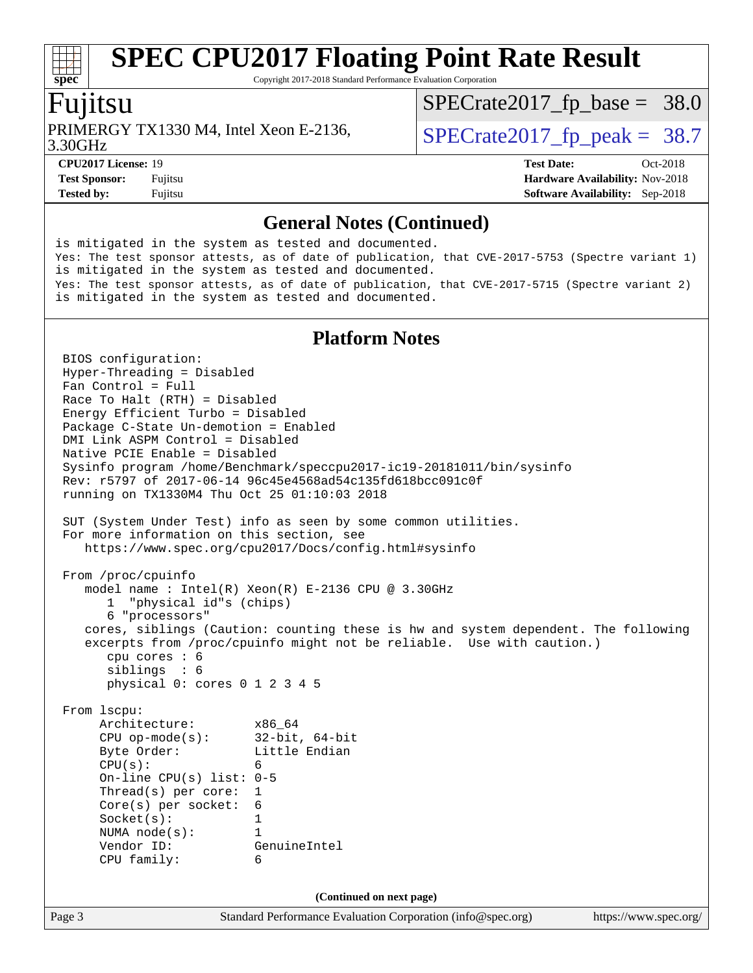Copyright 2017-2018 Standard Performance Evaluation Corporation

### Fujitsu

3.30GHz PRIMERGY TX1330 M4, Intel Xeon E-2136,  $\vert$  [SPECrate2017\\_fp\\_peak =](http://www.spec.org/auto/cpu2017/Docs/result-fields.html#SPECrate2017fppeak) 38.7

 $SPECrate2017_fp\_base = 38.0$ 

**[CPU2017 License:](http://www.spec.org/auto/cpu2017/Docs/result-fields.html#CPU2017License)** 19 **[Test Date:](http://www.spec.org/auto/cpu2017/Docs/result-fields.html#TestDate)** Oct-2018 **[Test Sponsor:](http://www.spec.org/auto/cpu2017/Docs/result-fields.html#TestSponsor)** Fujitsu **Fundal** Fujitsu **[Hardware Availability:](http://www.spec.org/auto/cpu2017/Docs/result-fields.html#HardwareAvailability)** Nov-2018

**[Tested by:](http://www.spec.org/auto/cpu2017/Docs/result-fields.html#Testedby)** Fujitsu **[Software Availability:](http://www.spec.org/auto/cpu2017/Docs/result-fields.html#SoftwareAvailability)** Sep-2018

#### **[General Notes \(Continued\)](http://www.spec.org/auto/cpu2017/Docs/result-fields.html#GeneralNotes)**

is mitigated in the system as tested and documented. Yes: The test sponsor attests, as of date of publication, that CVE-2017-5753 (Spectre variant 1) is mitigated in the system as tested and documented. Yes: The test sponsor attests, as of date of publication, that CVE-2017-5715 (Spectre variant 2) is mitigated in the system as tested and documented.

#### **[Platform Notes](http://www.spec.org/auto/cpu2017/Docs/result-fields.html#PlatformNotes)**

Page 3 Standard Performance Evaluation Corporation [\(info@spec.org\)](mailto:info@spec.org) <https://www.spec.org/> BIOS configuration: Hyper-Threading = Disabled Fan Control = Full Race To Halt (RTH) = Disabled Energy Efficient Turbo = Disabled Package C-State Un-demotion = Enabled DMI Link ASPM Control = Disabled Native PCIE Enable = Disabled Sysinfo program /home/Benchmark/speccpu2017-ic19-20181011/bin/sysinfo Rev: r5797 of 2017-06-14 96c45e4568ad54c135fd618bcc091c0f running on TX1330M4 Thu Oct 25 01:10:03 2018 SUT (System Under Test) info as seen by some common utilities. For more information on this section, see <https://www.spec.org/cpu2017/Docs/config.html#sysinfo> From /proc/cpuinfo model name : Intel(R) Xeon(R) E-2136 CPU @ 3.30GHz 1 "physical id"s (chips) 6 "processors" cores, siblings (Caution: counting these is hw and system dependent. The following excerpts from /proc/cpuinfo might not be reliable. Use with caution.) cpu cores : 6 siblings : 6 physical 0: cores 0 1 2 3 4 5 From lscpu: Architecture: x86\_64 CPU op-mode(s): 32-bit, 64-bit Byte Order: Little Endian  $CPU(s):$  6 On-line CPU(s) list: 0-5 Thread(s) per core: 1 Core(s) per socket: 6 Socket(s): 1 NUMA node(s): 1 Vendor ID: GenuineIntel CPU family: 6 **(Continued on next page)**

**[spec](http://www.spec.org/)**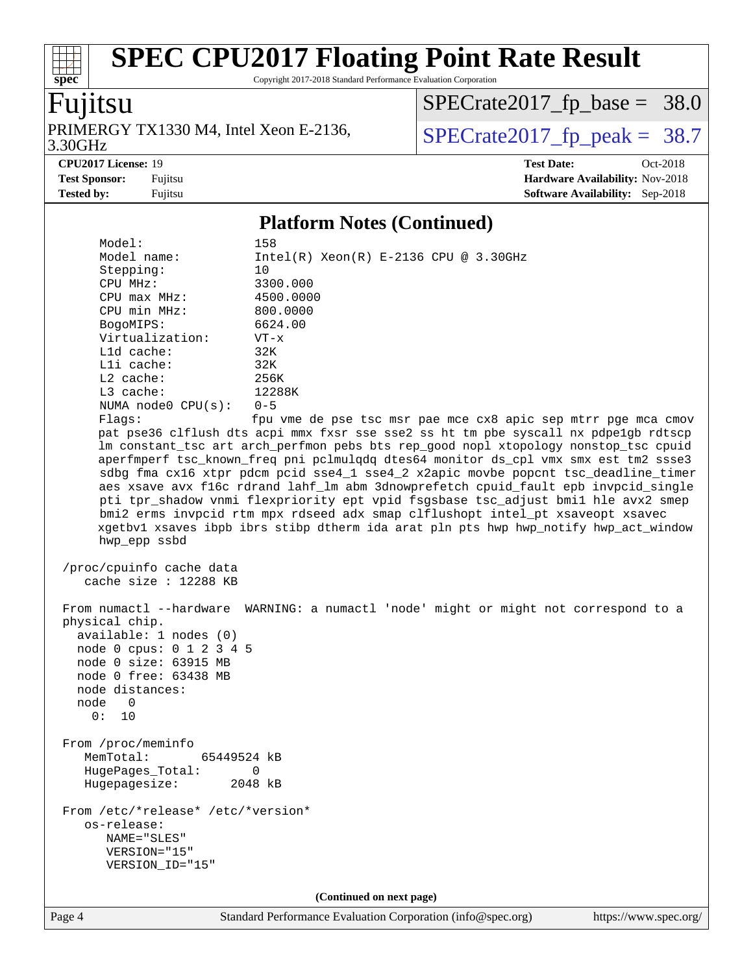Copyright 2017-2018 Standard Performance Evaluation Corporation

# Fujitsu

**[spec](http://www.spec.org/)**

3.30GHz PRIMERGY TX1330 M4, Intel Xeon E-2136,  $\big|$  [SPECrate2017\\_fp\\_peak =](http://www.spec.org/auto/cpu2017/Docs/result-fields.html#SPECrate2017fppeak) 38.7

[SPECrate2017\\_fp\\_base =](http://www.spec.org/auto/cpu2017/Docs/result-fields.html#SPECrate2017fpbase) 38.0

**[CPU2017 License:](http://www.spec.org/auto/cpu2017/Docs/result-fields.html#CPU2017License)** 19 **[Test Date:](http://www.spec.org/auto/cpu2017/Docs/result-fields.html#TestDate)** Oct-2018 **[Test Sponsor:](http://www.spec.org/auto/cpu2017/Docs/result-fields.html#TestSponsor)** Fujitsu **[Hardware Availability:](http://www.spec.org/auto/cpu2017/Docs/result-fields.html#HardwareAvailability)** Nov-2018 **[Tested by:](http://www.spec.org/auto/cpu2017/Docs/result-fields.html#Testedby)** Fujitsu **[Software Availability:](http://www.spec.org/auto/cpu2017/Docs/result-fields.html#SoftwareAvailability)** Sep-2018

#### **[Platform Notes \(Continued\)](http://www.spec.org/auto/cpu2017/Docs/result-fields.html#PlatformNotes)**

| Model:<br>Model name:              | 158<br>$Intel(R)$ Xeon $(R)$ E-2136 CPU @ 3.30GHz                                    |
|------------------------------------|--------------------------------------------------------------------------------------|
| Stepping:                          | 10                                                                                   |
| CPU MHz:                           | 3300.000                                                                             |
| CPU max MHz:                       | 4500.0000                                                                            |
| CPU min MHz:                       | 800.0000                                                                             |
| BogoMIPS:                          | 6624.00                                                                              |
| Virtualization:                    | $VT - x$                                                                             |
| L1d cache:                         | 32K                                                                                  |
| Lli cache:                         | 32K                                                                                  |
| L2 cache:                          | 256K                                                                                 |
| L3 cache:                          | 12288K                                                                               |
| NUMA node0 CPU(s):                 | $0 - 5$                                                                              |
| Flaqs:                             | fpu vme de pse tsc msr pae mce cx8 apic sep mtrr pge mca cmov                        |
|                                    | pat pse36 clflush dts acpi mmx fxsr sse sse2 ss ht tm pbe syscall nx pdpelgb rdtscp  |
|                                    | lm constant_tsc art arch_perfmon pebs bts rep_good nopl xtopology nonstop_tsc cpuid  |
|                                    | aperfmperf tsc_known_freq pni pclmulqdq dtes64 monitor ds_cpl vmx smx est tm2 ssse3  |
|                                    | sdbg fma cx16 xtpr pdcm pcid sse4_1 sse4_2 x2apic movbe popcnt tsc_deadline_timer    |
|                                    | aes xsave avx f16c rdrand lahf_lm abm 3dnowprefetch cpuid_fault epb invpcid_single   |
|                                    | pti tpr_shadow vnmi flexpriority ept vpid fsgsbase tsc_adjust bmil hle avx2 smep     |
|                                    | bmi2 erms invpcid rtm mpx rdseed adx smap clflushopt intel_pt xsaveopt xsavec        |
|                                    | xgetbvl xsaves ibpb ibrs stibp dtherm ida arat pln pts hwp hwp_notify hwp_act_window |
| hwp_epp ssbd                       |                                                                                      |
| /proc/cpuinfo cache data           |                                                                                      |
| cache size : 12288 KB              |                                                                                      |
|                                    |                                                                                      |
|                                    | From numactl --hardware WARNING: a numactl 'node' might or might not correspond to a |
| physical chip.                     |                                                                                      |
| available: 1 nodes (0)             |                                                                                      |
| node 0 cpus: 0 1 2 3 4 5           |                                                                                      |
| node 0 size: 63915 MB              |                                                                                      |
| node 0 free: 63438 MB              |                                                                                      |
| node distances:                    |                                                                                      |
| node<br>0                          |                                                                                      |
| 0: 10                              |                                                                                      |
|                                    |                                                                                      |
| From /proc/meminfo                 |                                                                                      |
| MemTotal:<br>65449524 kB           |                                                                                      |
| HugePages_Total:                   | 0                                                                                    |
| Hugepagesize:                      | 2048 kB                                                                              |
|                                    |                                                                                      |
| From /etc/*release* /etc/*version* |                                                                                      |
| os-release:                        |                                                                                      |
| NAME="SLES"                        |                                                                                      |
| VERSION="15"                       |                                                                                      |
| VERSION_ID="15"                    |                                                                                      |
|                                    |                                                                                      |
|                                    | (Continued on next page)                                                             |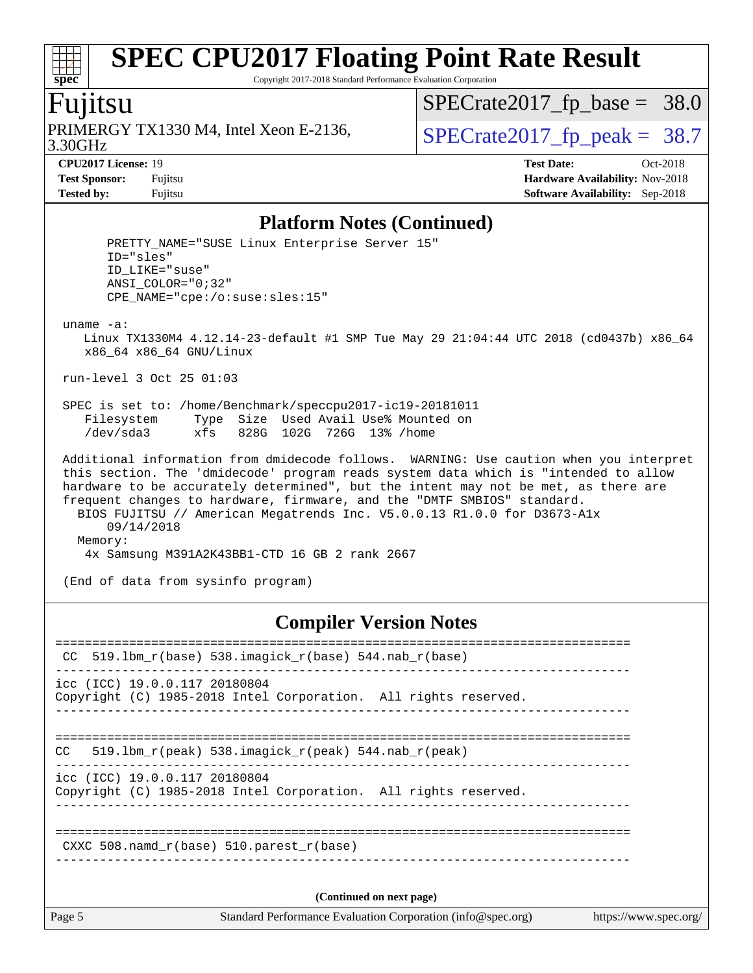Copyright 2017-2018 Standard Performance Evaluation Corporation

### Fujitsu

**[spec](http://www.spec.org/)**

 $+\ +$ 

3.30GHz PRIMERGY TX1330 M4, Intel Xeon E-2136,  $\sqrt{\text{SPECrate2017\_fp\_peak}} = 38.7$ 

[SPECrate2017\\_fp\\_base =](http://www.spec.org/auto/cpu2017/Docs/result-fields.html#SPECrate2017fpbase) 38.0

**[CPU2017 License:](http://www.spec.org/auto/cpu2017/Docs/result-fields.html#CPU2017License)** 19 **[Test Date:](http://www.spec.org/auto/cpu2017/Docs/result-fields.html#TestDate)** Oct-2018 **[Test Sponsor:](http://www.spec.org/auto/cpu2017/Docs/result-fields.html#TestSponsor)** Fujitsu **[Hardware Availability:](http://www.spec.org/auto/cpu2017/Docs/result-fields.html#HardwareAvailability)** Nov-2018 **[Tested by:](http://www.spec.org/auto/cpu2017/Docs/result-fields.html#Testedby)** Fujitsu **[Software Availability:](http://www.spec.org/auto/cpu2017/Docs/result-fields.html#SoftwareAvailability)** Sep-2018

#### **[Platform Notes \(Continued\)](http://www.spec.org/auto/cpu2017/Docs/result-fields.html#PlatformNotes)**

| PRETTY_NAME="SUSE Linux Enterprise Server 15"<br>ID="sles"<br>ID LIKE="suse"<br>ANSI COLOR="0;32"<br>CPE NAME="cpe:/o:suse:sles:15"                                                                                                                                                                                                                                                                                                                                                                 |  |  |  |
|-----------------------------------------------------------------------------------------------------------------------------------------------------------------------------------------------------------------------------------------------------------------------------------------------------------------------------------------------------------------------------------------------------------------------------------------------------------------------------------------------------|--|--|--|
| $uname -a$ :<br>Linux TX1330M4 4.12.14-23-default #1 SMP Tue May 29 21:04:44 UTC 2018 (cd0437b) x86 64<br>$x86$ 64 $x86$ 64 GNU/Linux                                                                                                                                                                                                                                                                                                                                                               |  |  |  |
| run-level 3 Oct 25 01:03                                                                                                                                                                                                                                                                                                                                                                                                                                                                            |  |  |  |
| SPEC is set to: /home/Benchmark/speccpu2017-ic19-20181011<br>Type Size Used Avail Use% Mounted on<br>Filesystem<br>/dev/sda3 xfs 828G 102G 726G 13% /home                                                                                                                                                                                                                                                                                                                                           |  |  |  |
| Additional information from dmidecode follows. WARNING: Use caution when you interpret<br>this section. The 'dmidecode' program reads system data which is "intended to allow<br>hardware to be accurately determined", but the intent may not be met, as there are<br>frequent changes to hardware, firmware, and the "DMTF SMBIOS" standard.<br>BIOS FUJITSU // American Megatrends Inc. V5.0.0.13 R1.0.0 for D3673-Alx<br>09/14/2018<br>Memory:<br>4x Samsung M391A2K43BB1-CTD 16 GB 2 rank 2667 |  |  |  |
| (End of data from sysinfo program)                                                                                                                                                                                                                                                                                                                                                                                                                                                                  |  |  |  |

#### **[Compiler Version Notes](http://www.spec.org/auto/cpu2017/Docs/result-fields.html#CompilerVersionNotes)**

| Page 5                        | Standard Performance Evaluation Corporation (info@spec.org)                    | https://www.spec.org/ |
|-------------------------------|--------------------------------------------------------------------------------|-----------------------|
|                               | (Continued on next page)                                                       |                       |
|                               | CXXC 508. namd $r(base)$ 510. parest $r(base)$                                 |                       |
| icc (ICC) 19.0.0.117 20180804 | Copyright (C) 1985-2018 Intel Corporation. All rights reserved.                |                       |
| CC                            | 519.1bm $r(\text{peak})$ 538.imagick $r(\text{peak})$ 544.nab $r(\text{peak})$ |                       |
| icc (ICC) 19.0.0.117 20180804 | Copyright (C) 1985-2018 Intel Corporation. All rights reserved.                |                       |
| CC.                           | $519.1$ bm_r(base) 538.imagick_r(base) 544.nab_r(base)                         |                       |
|                               |                                                                                |                       |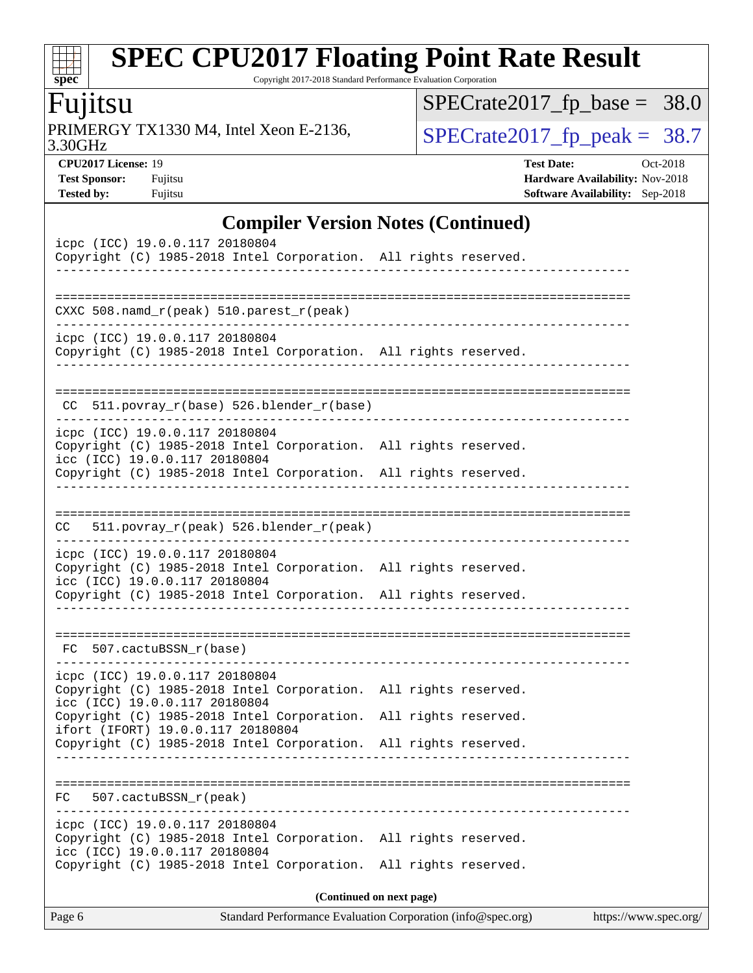#### $\pm$ **[spec](http://www.spec.org/)**

# **[SPEC CPU2017 Floating Point Rate Result](http://www.spec.org/auto/cpu2017/Docs/result-fields.html#SPECCPU2017FloatingPointRateResult)**

Copyright 2017-2018 Standard Performance Evaluation Corporation

### Fujitsu

3.30GHz PRIMERGY TX1330 M4, Intel Xeon E-2136,  $\sqrt{\text{SPECrate2017\_fp\_peak}} = 38.7$ 

[SPECrate2017\\_fp\\_base =](http://www.spec.org/auto/cpu2017/Docs/result-fields.html#SPECrate2017fpbase) 38.0

**[CPU2017 License:](http://www.spec.org/auto/cpu2017/Docs/result-fields.html#CPU2017License)** 19 **[Test Date:](http://www.spec.org/auto/cpu2017/Docs/result-fields.html#TestDate)** Oct-2018 **[Test Sponsor:](http://www.spec.org/auto/cpu2017/Docs/result-fields.html#TestSponsor)** Fujitsu **[Hardware Availability:](http://www.spec.org/auto/cpu2017/Docs/result-fields.html#HardwareAvailability)** Nov-2018 **[Tested by:](http://www.spec.org/auto/cpu2017/Docs/result-fields.html#Testedby)** Fujitsu **[Software Availability:](http://www.spec.org/auto/cpu2017/Docs/result-fields.html#SoftwareAvailability)** Sep-2018

#### **[Compiler Version Notes \(Continued\)](http://www.spec.org/auto/cpu2017/Docs/result-fields.html#CompilerVersionNotes)**

| CXXC 508.namd_r(peak) 510.parest_r(peak)<br>______________________________________<br>icpc (ICC) 19.0.0.117 20180804<br>Copyright (C) 1985-2018 Intel Corporation. All rights reserved.<br>511.povray_r(base) 526.blender_r(base)<br>CC.<br>icpc (ICC) 19.0.0.117 20180804<br>Copyright (C) 1985-2018 Intel Corporation. All rights reserved.<br>icc (ICC) 19.0.0.117 20180804<br>Copyright (C) 1985-2018 Intel Corporation. All rights reserved.<br>511.povray_r(peak) 526.blender_r(peak)<br>CC.<br>icpc (ICC) 19.0.0.117 20180804<br>Copyright (C) 1985-2018 Intel Corporation. All rights reserved.<br>icc (ICC) 19.0.0.117 20180804<br>Copyright (C) 1985-2018 Intel Corporation. All rights reserved.<br>FC 507.cactuBSSN_r(base)<br>icpc (ICC) 19.0.0.117 20180804<br>Copyright (C) 1985-2018 Intel Corporation. All rights reserved.<br>icc (ICC) 19.0.0.117 20180804<br>Copyright (C) 1985-2018 Intel Corporation. All rights reserved.<br>ifort (IFORT) 19.0.0.117 20180804<br>Copyright (C) 1985-2018 Intel Corporation. All rights reserved.<br>507.cactuBSSN_r(peak)<br>FC<br>icpc (ICC) 19.0.0.117 20180804<br>Copyright (C) 1985-2018 Intel Corporation. All rights reserved.<br>icc (ICC) 19.0.0.117 20180804<br>Copyright (C) 1985-2018 Intel Corporation. All rights reserved.<br>(Continued on next page) | icpc (ICC) 19.0.0.117 20180804<br>Copyright (C) 1985-2018 Intel Corporation. All rights reserved. |  |
|------------------------------------------------------------------------------------------------------------------------------------------------------------------------------------------------------------------------------------------------------------------------------------------------------------------------------------------------------------------------------------------------------------------------------------------------------------------------------------------------------------------------------------------------------------------------------------------------------------------------------------------------------------------------------------------------------------------------------------------------------------------------------------------------------------------------------------------------------------------------------------------------------------------------------------------------------------------------------------------------------------------------------------------------------------------------------------------------------------------------------------------------------------------------------------------------------------------------------------------------------------------------------------------------------------------------------|---------------------------------------------------------------------------------------------------|--|
|                                                                                                                                                                                                                                                                                                                                                                                                                                                                                                                                                                                                                                                                                                                                                                                                                                                                                                                                                                                                                                                                                                                                                                                                                                                                                                                              |                                                                                                   |  |
|                                                                                                                                                                                                                                                                                                                                                                                                                                                                                                                                                                                                                                                                                                                                                                                                                                                                                                                                                                                                                                                                                                                                                                                                                                                                                                                              |                                                                                                   |  |
|                                                                                                                                                                                                                                                                                                                                                                                                                                                                                                                                                                                                                                                                                                                                                                                                                                                                                                                                                                                                                                                                                                                                                                                                                                                                                                                              |                                                                                                   |  |
|                                                                                                                                                                                                                                                                                                                                                                                                                                                                                                                                                                                                                                                                                                                                                                                                                                                                                                                                                                                                                                                                                                                                                                                                                                                                                                                              |                                                                                                   |  |
|                                                                                                                                                                                                                                                                                                                                                                                                                                                                                                                                                                                                                                                                                                                                                                                                                                                                                                                                                                                                                                                                                                                                                                                                                                                                                                                              |                                                                                                   |  |
|                                                                                                                                                                                                                                                                                                                                                                                                                                                                                                                                                                                                                                                                                                                                                                                                                                                                                                                                                                                                                                                                                                                                                                                                                                                                                                                              |                                                                                                   |  |
|                                                                                                                                                                                                                                                                                                                                                                                                                                                                                                                                                                                                                                                                                                                                                                                                                                                                                                                                                                                                                                                                                                                                                                                                                                                                                                                              |                                                                                                   |  |
|                                                                                                                                                                                                                                                                                                                                                                                                                                                                                                                                                                                                                                                                                                                                                                                                                                                                                                                                                                                                                                                                                                                                                                                                                                                                                                                              |                                                                                                   |  |
|                                                                                                                                                                                                                                                                                                                                                                                                                                                                                                                                                                                                                                                                                                                                                                                                                                                                                                                                                                                                                                                                                                                                                                                                                                                                                                                              |                                                                                                   |  |
|                                                                                                                                                                                                                                                                                                                                                                                                                                                                                                                                                                                                                                                                                                                                                                                                                                                                                                                                                                                                                                                                                                                                                                                                                                                                                                                              |                                                                                                   |  |
|                                                                                                                                                                                                                                                                                                                                                                                                                                                                                                                                                                                                                                                                                                                                                                                                                                                                                                                                                                                                                                                                                                                                                                                                                                                                                                                              |                                                                                                   |  |
|                                                                                                                                                                                                                                                                                                                                                                                                                                                                                                                                                                                                                                                                                                                                                                                                                                                                                                                                                                                                                                                                                                                                                                                                                                                                                                                              |                                                                                                   |  |
|                                                                                                                                                                                                                                                                                                                                                                                                                                                                                                                                                                                                                                                                                                                                                                                                                                                                                                                                                                                                                                                                                                                                                                                                                                                                                                                              |                                                                                                   |  |
|                                                                                                                                                                                                                                                                                                                                                                                                                                                                                                                                                                                                                                                                                                                                                                                                                                                                                                                                                                                                                                                                                                                                                                                                                                                                                                                              |                                                                                                   |  |
|                                                                                                                                                                                                                                                                                                                                                                                                                                                                                                                                                                                                                                                                                                                                                                                                                                                                                                                                                                                                                                                                                                                                                                                                                                                                                                                              |                                                                                                   |  |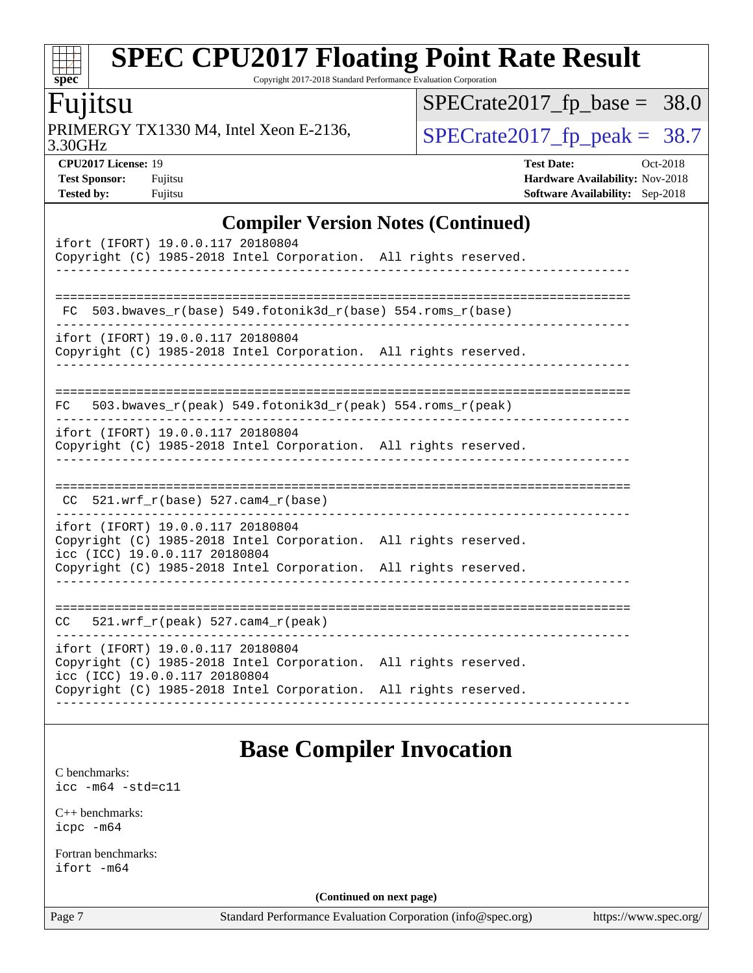#### dd h **[spec](http://www.spec.org/)**

# **[SPEC CPU2017 Floating Point Rate Result](http://www.spec.org/auto/cpu2017/Docs/result-fields.html#SPECCPU2017FloatingPointRateResult)**

Copyright 2017-2018 Standard Performance Evaluation Corporation

### Fujitsu

3.30GHz PRIMERGY TX1330 M4, Intel Xeon E-2136,  $\sqrt{\text{SPECrate2017\_fp\_peak}} = 38.7$ 

 $SPECrate2017_fp\_base = 38.0$ 

**[Tested by:](http://www.spec.org/auto/cpu2017/Docs/result-fields.html#Testedby)** Fujitsu **[Software Availability:](http://www.spec.org/auto/cpu2017/Docs/result-fields.html#SoftwareAvailability)** Sep-2018

**[CPU2017 License:](http://www.spec.org/auto/cpu2017/Docs/result-fields.html#CPU2017License)** 19 **[Test Date:](http://www.spec.org/auto/cpu2017/Docs/result-fields.html#TestDate)** Oct-2018 **[Test Sponsor:](http://www.spec.org/auto/cpu2017/Docs/result-fields.html#TestSponsor)** Fujitsu **Fundal** Fujitsu **[Hardware Availability:](http://www.spec.org/auto/cpu2017/Docs/result-fields.html#HardwareAvailability)** Nov-2018

#### **[Compiler Version Notes \(Continued\)](http://www.spec.org/auto/cpu2017/Docs/result-fields.html#CompilerVersionNotes)**

| ifort (IFORT) 19.0.0.117 20180804<br>Copyright (C) 1985-2018 Intel Corporation. All rights reserved.                                                                                                     |  |
|----------------------------------------------------------------------------------------------------------------------------------------------------------------------------------------------------------|--|
| $FC 503.bwaves_r(base) 549.fotonik3d_r(base) 554.roms_r(base)$                                                                                                                                           |  |
| ifort (IFORT) 19.0.0.117 20180804<br>Copyright (C) 1985-2018 Intel Corporation. All rights reserved.                                                                                                     |  |
| 503.bwaves $r(\text{peak})$ 549.fotonik3d $r(\text{peak})$ 554.roms $r(\text{peak})$<br>FC                                                                                                               |  |
| ifort (IFORT) 19.0.0.117 20180804<br>Copyright (C) 1985-2018 Intel Corporation. All rights reserved.                                                                                                     |  |
| $CC$ 521.wrf_r(base) 527.cam4_r(base)                                                                                                                                                                    |  |
| ifort (IFORT) 19.0.0.117 20180804<br>Copyright (C) 1985-2018 Intel Corporation. All rights reserved.<br>icc (ICC) 19.0.0.117 20180804<br>Copyright (C) 1985-2018 Intel Corporation. All rights reserved. |  |
| $CC = 521.wrf_r(peak) 527.cam4_r(peak)$                                                                                                                                                                  |  |
| ifort (IFORT) 19.0.0.117 20180804<br>Copyright (C) 1985-2018 Intel Corporation. All rights reserved.<br>icc (ICC) 19.0.0.117 20180804<br>Copyright (C) 1985-2018 Intel Corporation. All rights reserved. |  |

### **[Base Compiler Invocation](http://www.spec.org/auto/cpu2017/Docs/result-fields.html#BaseCompilerInvocation)**

[C benchmarks](http://www.spec.org/auto/cpu2017/Docs/result-fields.html#Cbenchmarks): [icc -m64 -std=c11](http://www.spec.org/cpu2017/results/res2018q4/cpu2017-20181030-09457.flags.html#user_CCbase_intel_icc_64bit_c11_33ee0cdaae7deeeab2a9725423ba97205ce30f63b9926c2519791662299b76a0318f32ddfffdc46587804de3178b4f9328c46fa7c2b0cd779d7a61945c91cd35)

[C++ benchmarks:](http://www.spec.org/auto/cpu2017/Docs/result-fields.html#CXXbenchmarks) [icpc -m64](http://www.spec.org/cpu2017/results/res2018q4/cpu2017-20181030-09457.flags.html#user_CXXbase_intel_icpc_64bit_4ecb2543ae3f1412ef961e0650ca070fec7b7afdcd6ed48761b84423119d1bf6bdf5cad15b44d48e7256388bc77273b966e5eb805aefd121eb22e9299b2ec9d9)

[Fortran benchmarks](http://www.spec.org/auto/cpu2017/Docs/result-fields.html#Fortranbenchmarks): [ifort -m64](http://www.spec.org/cpu2017/results/res2018q4/cpu2017-20181030-09457.flags.html#user_FCbase_intel_ifort_64bit_24f2bb282fbaeffd6157abe4f878425411749daecae9a33200eee2bee2fe76f3b89351d69a8130dd5949958ce389cf37ff59a95e7a40d588e8d3a57e0c3fd751)

**(Continued on next page)**

Page 7 Standard Performance Evaluation Corporation [\(info@spec.org\)](mailto:info@spec.org) <https://www.spec.org/>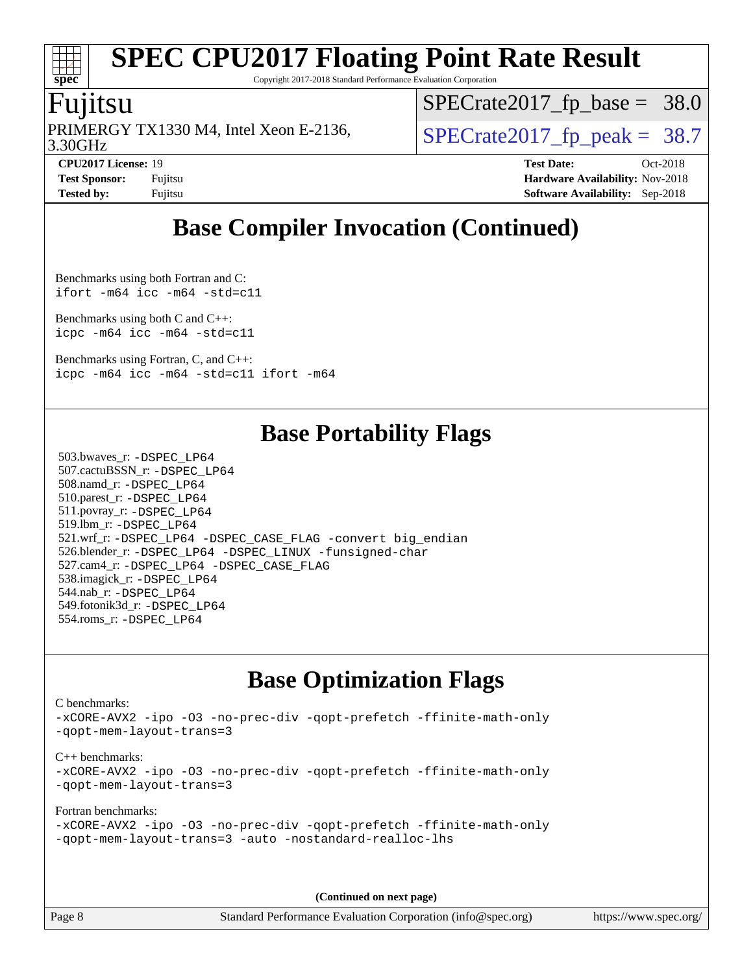# **[spec](http://www.spec.org/)**

# **[SPEC CPU2017 Floating Point Rate Result](http://www.spec.org/auto/cpu2017/Docs/result-fields.html#SPECCPU2017FloatingPointRateResult)**

Copyright 2017-2018 Standard Performance Evaluation Corporation

### Fujitsu

3.30GHz PRIMERGY TX1330 M4, Intel Xeon E-2136,  $\vert$  [SPECrate2017\\_fp\\_peak =](http://www.spec.org/auto/cpu2017/Docs/result-fields.html#SPECrate2017fppeak) 38.7

 $SPECrate2017_fp\_base = 38.0$ 

**[Tested by:](http://www.spec.org/auto/cpu2017/Docs/result-fields.html#Testedby)** Fujitsu **[Software Availability:](http://www.spec.org/auto/cpu2017/Docs/result-fields.html#SoftwareAvailability)** Sep-2018

**[CPU2017 License:](http://www.spec.org/auto/cpu2017/Docs/result-fields.html#CPU2017License)** 19 **[Test Date:](http://www.spec.org/auto/cpu2017/Docs/result-fields.html#TestDate)** Oct-2018 **[Test Sponsor:](http://www.spec.org/auto/cpu2017/Docs/result-fields.html#TestSponsor)** Fujitsu **Fundal** Fujitsu **[Hardware Availability:](http://www.spec.org/auto/cpu2017/Docs/result-fields.html#HardwareAvailability)** Nov-2018

### **[Base Compiler Invocation \(Continued\)](http://www.spec.org/auto/cpu2017/Docs/result-fields.html#BaseCompilerInvocation)**

[Benchmarks using both Fortran and C](http://www.spec.org/auto/cpu2017/Docs/result-fields.html#BenchmarksusingbothFortranandC): [ifort -m64](http://www.spec.org/cpu2017/results/res2018q4/cpu2017-20181030-09457.flags.html#user_CC_FCbase_intel_ifort_64bit_24f2bb282fbaeffd6157abe4f878425411749daecae9a33200eee2bee2fe76f3b89351d69a8130dd5949958ce389cf37ff59a95e7a40d588e8d3a57e0c3fd751) [icc -m64 -std=c11](http://www.spec.org/cpu2017/results/res2018q4/cpu2017-20181030-09457.flags.html#user_CC_FCbase_intel_icc_64bit_c11_33ee0cdaae7deeeab2a9725423ba97205ce30f63b9926c2519791662299b76a0318f32ddfffdc46587804de3178b4f9328c46fa7c2b0cd779d7a61945c91cd35)

[Benchmarks using both C and C++](http://www.spec.org/auto/cpu2017/Docs/result-fields.html#BenchmarksusingbothCandCXX): [icpc -m64](http://www.spec.org/cpu2017/results/res2018q4/cpu2017-20181030-09457.flags.html#user_CC_CXXbase_intel_icpc_64bit_4ecb2543ae3f1412ef961e0650ca070fec7b7afdcd6ed48761b84423119d1bf6bdf5cad15b44d48e7256388bc77273b966e5eb805aefd121eb22e9299b2ec9d9) [icc -m64 -std=c11](http://www.spec.org/cpu2017/results/res2018q4/cpu2017-20181030-09457.flags.html#user_CC_CXXbase_intel_icc_64bit_c11_33ee0cdaae7deeeab2a9725423ba97205ce30f63b9926c2519791662299b76a0318f32ddfffdc46587804de3178b4f9328c46fa7c2b0cd779d7a61945c91cd35)

[Benchmarks using Fortran, C, and C++:](http://www.spec.org/auto/cpu2017/Docs/result-fields.html#BenchmarksusingFortranCandCXX) [icpc -m64](http://www.spec.org/cpu2017/results/res2018q4/cpu2017-20181030-09457.flags.html#user_CC_CXX_FCbase_intel_icpc_64bit_4ecb2543ae3f1412ef961e0650ca070fec7b7afdcd6ed48761b84423119d1bf6bdf5cad15b44d48e7256388bc77273b966e5eb805aefd121eb22e9299b2ec9d9) [icc -m64 -std=c11](http://www.spec.org/cpu2017/results/res2018q4/cpu2017-20181030-09457.flags.html#user_CC_CXX_FCbase_intel_icc_64bit_c11_33ee0cdaae7deeeab2a9725423ba97205ce30f63b9926c2519791662299b76a0318f32ddfffdc46587804de3178b4f9328c46fa7c2b0cd779d7a61945c91cd35) [ifort -m64](http://www.spec.org/cpu2017/results/res2018q4/cpu2017-20181030-09457.flags.html#user_CC_CXX_FCbase_intel_ifort_64bit_24f2bb282fbaeffd6157abe4f878425411749daecae9a33200eee2bee2fe76f3b89351d69a8130dd5949958ce389cf37ff59a95e7a40d588e8d3a57e0c3fd751)

### **[Base Portability Flags](http://www.spec.org/auto/cpu2017/Docs/result-fields.html#BasePortabilityFlags)**

 503.bwaves\_r: [-DSPEC\\_LP64](http://www.spec.org/cpu2017/results/res2018q4/cpu2017-20181030-09457.flags.html#suite_basePORTABILITY503_bwaves_r_DSPEC_LP64) 507.cactuBSSN\_r: [-DSPEC\\_LP64](http://www.spec.org/cpu2017/results/res2018q4/cpu2017-20181030-09457.flags.html#suite_basePORTABILITY507_cactuBSSN_r_DSPEC_LP64) 508.namd\_r: [-DSPEC\\_LP64](http://www.spec.org/cpu2017/results/res2018q4/cpu2017-20181030-09457.flags.html#suite_basePORTABILITY508_namd_r_DSPEC_LP64) 510.parest\_r: [-DSPEC\\_LP64](http://www.spec.org/cpu2017/results/res2018q4/cpu2017-20181030-09457.flags.html#suite_basePORTABILITY510_parest_r_DSPEC_LP64) 511.povray\_r: [-DSPEC\\_LP64](http://www.spec.org/cpu2017/results/res2018q4/cpu2017-20181030-09457.flags.html#suite_basePORTABILITY511_povray_r_DSPEC_LP64) 519.lbm\_r: [-DSPEC\\_LP64](http://www.spec.org/cpu2017/results/res2018q4/cpu2017-20181030-09457.flags.html#suite_basePORTABILITY519_lbm_r_DSPEC_LP64) 521.wrf\_r: [-DSPEC\\_LP64](http://www.spec.org/cpu2017/results/res2018q4/cpu2017-20181030-09457.flags.html#suite_basePORTABILITY521_wrf_r_DSPEC_LP64) [-DSPEC\\_CASE\\_FLAG](http://www.spec.org/cpu2017/results/res2018q4/cpu2017-20181030-09457.flags.html#b521.wrf_r_baseCPORTABILITY_DSPEC_CASE_FLAG) [-convert big\\_endian](http://www.spec.org/cpu2017/results/res2018q4/cpu2017-20181030-09457.flags.html#user_baseFPORTABILITY521_wrf_r_convert_big_endian_c3194028bc08c63ac5d04de18c48ce6d347e4e562e8892b8bdbdc0214820426deb8554edfa529a3fb25a586e65a3d812c835984020483e7e73212c4d31a38223) 526.blender\_r: [-DSPEC\\_LP64](http://www.spec.org/cpu2017/results/res2018q4/cpu2017-20181030-09457.flags.html#suite_basePORTABILITY526_blender_r_DSPEC_LP64) [-DSPEC\\_LINUX](http://www.spec.org/cpu2017/results/res2018q4/cpu2017-20181030-09457.flags.html#b526.blender_r_baseCPORTABILITY_DSPEC_LINUX) [-funsigned-char](http://www.spec.org/cpu2017/results/res2018q4/cpu2017-20181030-09457.flags.html#user_baseCPORTABILITY526_blender_r_force_uchar_40c60f00ab013830e2dd6774aeded3ff59883ba5a1fc5fc14077f794d777847726e2a5858cbc7672e36e1b067e7e5c1d9a74f7176df07886a243d7cc18edfe67) 527.cam4\_r: [-DSPEC\\_LP64](http://www.spec.org/cpu2017/results/res2018q4/cpu2017-20181030-09457.flags.html#suite_basePORTABILITY527_cam4_r_DSPEC_LP64) [-DSPEC\\_CASE\\_FLAG](http://www.spec.org/cpu2017/results/res2018q4/cpu2017-20181030-09457.flags.html#b527.cam4_r_baseCPORTABILITY_DSPEC_CASE_FLAG) 538.imagick\_r: [-DSPEC\\_LP64](http://www.spec.org/cpu2017/results/res2018q4/cpu2017-20181030-09457.flags.html#suite_basePORTABILITY538_imagick_r_DSPEC_LP64) 544.nab\_r: [-DSPEC\\_LP64](http://www.spec.org/cpu2017/results/res2018q4/cpu2017-20181030-09457.flags.html#suite_basePORTABILITY544_nab_r_DSPEC_LP64) 549.fotonik3d\_r: [-DSPEC\\_LP64](http://www.spec.org/cpu2017/results/res2018q4/cpu2017-20181030-09457.flags.html#suite_basePORTABILITY549_fotonik3d_r_DSPEC_LP64) 554.roms\_r: [-DSPEC\\_LP64](http://www.spec.org/cpu2017/results/res2018q4/cpu2017-20181030-09457.flags.html#suite_basePORTABILITY554_roms_r_DSPEC_LP64)

### **[Base Optimization Flags](http://www.spec.org/auto/cpu2017/Docs/result-fields.html#BaseOptimizationFlags)**

[C benchmarks](http://www.spec.org/auto/cpu2017/Docs/result-fields.html#Cbenchmarks):

[-xCORE-AVX2](http://www.spec.org/cpu2017/results/res2018q4/cpu2017-20181030-09457.flags.html#user_CCbase_f-xCORE-AVX2) [-ipo](http://www.spec.org/cpu2017/results/res2018q4/cpu2017-20181030-09457.flags.html#user_CCbase_f-ipo) [-O3](http://www.spec.org/cpu2017/results/res2018q4/cpu2017-20181030-09457.flags.html#user_CCbase_f-O3) [-no-prec-div](http://www.spec.org/cpu2017/results/res2018q4/cpu2017-20181030-09457.flags.html#user_CCbase_f-no-prec-div) [-qopt-prefetch](http://www.spec.org/cpu2017/results/res2018q4/cpu2017-20181030-09457.flags.html#user_CCbase_f-qopt-prefetch) [-ffinite-math-only](http://www.spec.org/cpu2017/results/res2018q4/cpu2017-20181030-09457.flags.html#user_CCbase_f_finite_math_only_cb91587bd2077682c4b38af759c288ed7c732db004271a9512da14a4f8007909a5f1427ecbf1a0fb78ff2a814402c6114ac565ca162485bbcae155b5e4258871) [-qopt-mem-layout-trans=3](http://www.spec.org/cpu2017/results/res2018q4/cpu2017-20181030-09457.flags.html#user_CCbase_f-qopt-mem-layout-trans_de80db37974c74b1f0e20d883f0b675c88c3b01e9d123adea9b28688d64333345fb62bc4a798493513fdb68f60282f9a726aa07f478b2f7113531aecce732043) [C++ benchmarks:](http://www.spec.org/auto/cpu2017/Docs/result-fields.html#CXXbenchmarks) [-xCORE-AVX2](http://www.spec.org/cpu2017/results/res2018q4/cpu2017-20181030-09457.flags.html#user_CXXbase_f-xCORE-AVX2) [-ipo](http://www.spec.org/cpu2017/results/res2018q4/cpu2017-20181030-09457.flags.html#user_CXXbase_f-ipo) [-O3](http://www.spec.org/cpu2017/results/res2018q4/cpu2017-20181030-09457.flags.html#user_CXXbase_f-O3) [-no-prec-div](http://www.spec.org/cpu2017/results/res2018q4/cpu2017-20181030-09457.flags.html#user_CXXbase_f-no-prec-div) [-qopt-prefetch](http://www.spec.org/cpu2017/results/res2018q4/cpu2017-20181030-09457.flags.html#user_CXXbase_f-qopt-prefetch) [-ffinite-math-only](http://www.spec.org/cpu2017/results/res2018q4/cpu2017-20181030-09457.flags.html#user_CXXbase_f_finite_math_only_cb91587bd2077682c4b38af759c288ed7c732db004271a9512da14a4f8007909a5f1427ecbf1a0fb78ff2a814402c6114ac565ca162485bbcae155b5e4258871) [-qopt-mem-layout-trans=3](http://www.spec.org/cpu2017/results/res2018q4/cpu2017-20181030-09457.flags.html#user_CXXbase_f-qopt-mem-layout-trans_de80db37974c74b1f0e20d883f0b675c88c3b01e9d123adea9b28688d64333345fb62bc4a798493513fdb68f60282f9a726aa07f478b2f7113531aecce732043) [Fortran benchmarks](http://www.spec.org/auto/cpu2017/Docs/result-fields.html#Fortranbenchmarks):

```
-xCORE-AVX2 -ipo -O3 -no-prec-div -qopt-prefetch -ffinite-math-only
-qopt-mem-layout-trans=3 -auto -nostandard-realloc-lhs
```
**(Continued on next page)**

Page 8 Standard Performance Evaluation Corporation [\(info@spec.org\)](mailto:info@spec.org) <https://www.spec.org/>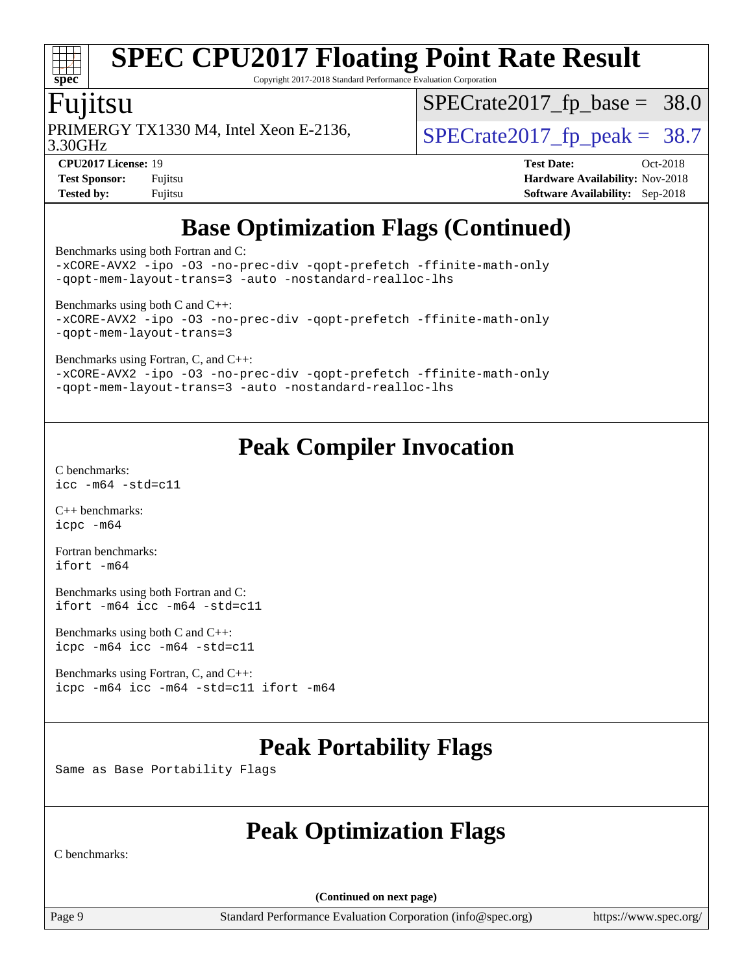# **[spec](http://www.spec.org/)**

# **[SPEC CPU2017 Floating Point Rate Result](http://www.spec.org/auto/cpu2017/Docs/result-fields.html#SPECCPU2017FloatingPointRateResult)**

Copyright 2017-2018 Standard Performance Evaluation Corporation

### Fujitsu

PRIMERGY TX1330 M4, Intel Xeon E-2136,  $\vert$ [SPECrate2017\\_fp\\_peak =](http://www.spec.org/auto/cpu2017/Docs/result-fields.html#SPECrate2017fppeak) 38.7

 $SPECrate2017_fp\_base = 38.0$ 

3.30GHz

**[CPU2017 License:](http://www.spec.org/auto/cpu2017/Docs/result-fields.html#CPU2017License)** 19 **[Test Date:](http://www.spec.org/auto/cpu2017/Docs/result-fields.html#TestDate)** Oct-2018 **[Test Sponsor:](http://www.spec.org/auto/cpu2017/Docs/result-fields.html#TestSponsor)** Fujitsu **Fundal** Fujitsu **[Hardware Availability:](http://www.spec.org/auto/cpu2017/Docs/result-fields.html#HardwareAvailability)** Nov-2018 **[Tested by:](http://www.spec.org/auto/cpu2017/Docs/result-fields.html#Testedby)** Fujitsu **[Software Availability:](http://www.spec.org/auto/cpu2017/Docs/result-fields.html#SoftwareAvailability)** Sep-2018

### **[Base Optimization Flags \(Continued\)](http://www.spec.org/auto/cpu2017/Docs/result-fields.html#BaseOptimizationFlags)**

[Benchmarks using both Fortran and C](http://www.spec.org/auto/cpu2017/Docs/result-fields.html#BenchmarksusingbothFortranandC):

[-xCORE-AVX2](http://www.spec.org/cpu2017/results/res2018q4/cpu2017-20181030-09457.flags.html#user_CC_FCbase_f-xCORE-AVX2) [-ipo](http://www.spec.org/cpu2017/results/res2018q4/cpu2017-20181030-09457.flags.html#user_CC_FCbase_f-ipo) [-O3](http://www.spec.org/cpu2017/results/res2018q4/cpu2017-20181030-09457.flags.html#user_CC_FCbase_f-O3) [-no-prec-div](http://www.spec.org/cpu2017/results/res2018q4/cpu2017-20181030-09457.flags.html#user_CC_FCbase_f-no-prec-div) [-qopt-prefetch](http://www.spec.org/cpu2017/results/res2018q4/cpu2017-20181030-09457.flags.html#user_CC_FCbase_f-qopt-prefetch) [-ffinite-math-only](http://www.spec.org/cpu2017/results/res2018q4/cpu2017-20181030-09457.flags.html#user_CC_FCbase_f_finite_math_only_cb91587bd2077682c4b38af759c288ed7c732db004271a9512da14a4f8007909a5f1427ecbf1a0fb78ff2a814402c6114ac565ca162485bbcae155b5e4258871) [-qopt-mem-layout-trans=3](http://www.spec.org/cpu2017/results/res2018q4/cpu2017-20181030-09457.flags.html#user_CC_FCbase_f-qopt-mem-layout-trans_de80db37974c74b1f0e20d883f0b675c88c3b01e9d123adea9b28688d64333345fb62bc4a798493513fdb68f60282f9a726aa07f478b2f7113531aecce732043) [-auto](http://www.spec.org/cpu2017/results/res2018q4/cpu2017-20181030-09457.flags.html#user_CC_FCbase_f-auto) [-nostandard-realloc-lhs](http://www.spec.org/cpu2017/results/res2018q4/cpu2017-20181030-09457.flags.html#user_CC_FCbase_f_2003_std_realloc_82b4557e90729c0f113870c07e44d33d6f5a304b4f63d4c15d2d0f1fab99f5daaed73bdb9275d9ae411527f28b936061aa8b9c8f2d63842963b95c9dd6426b8a)

[Benchmarks using both C and C++](http://www.spec.org/auto/cpu2017/Docs/result-fields.html#BenchmarksusingbothCandCXX): [-xCORE-AVX2](http://www.spec.org/cpu2017/results/res2018q4/cpu2017-20181030-09457.flags.html#user_CC_CXXbase_f-xCORE-AVX2) [-ipo](http://www.spec.org/cpu2017/results/res2018q4/cpu2017-20181030-09457.flags.html#user_CC_CXXbase_f-ipo) [-O3](http://www.spec.org/cpu2017/results/res2018q4/cpu2017-20181030-09457.flags.html#user_CC_CXXbase_f-O3) [-no-prec-div](http://www.spec.org/cpu2017/results/res2018q4/cpu2017-20181030-09457.flags.html#user_CC_CXXbase_f-no-prec-div) [-qopt-prefetch](http://www.spec.org/cpu2017/results/res2018q4/cpu2017-20181030-09457.flags.html#user_CC_CXXbase_f-qopt-prefetch) [-ffinite-math-only](http://www.spec.org/cpu2017/results/res2018q4/cpu2017-20181030-09457.flags.html#user_CC_CXXbase_f_finite_math_only_cb91587bd2077682c4b38af759c288ed7c732db004271a9512da14a4f8007909a5f1427ecbf1a0fb78ff2a814402c6114ac565ca162485bbcae155b5e4258871) [-qopt-mem-layout-trans=3](http://www.spec.org/cpu2017/results/res2018q4/cpu2017-20181030-09457.flags.html#user_CC_CXXbase_f-qopt-mem-layout-trans_de80db37974c74b1f0e20d883f0b675c88c3b01e9d123adea9b28688d64333345fb62bc4a798493513fdb68f60282f9a726aa07f478b2f7113531aecce732043)

[Benchmarks using Fortran, C, and C++:](http://www.spec.org/auto/cpu2017/Docs/result-fields.html#BenchmarksusingFortranCandCXX)

[-xCORE-AVX2](http://www.spec.org/cpu2017/results/res2018q4/cpu2017-20181030-09457.flags.html#user_CC_CXX_FCbase_f-xCORE-AVX2) [-ipo](http://www.spec.org/cpu2017/results/res2018q4/cpu2017-20181030-09457.flags.html#user_CC_CXX_FCbase_f-ipo) [-O3](http://www.spec.org/cpu2017/results/res2018q4/cpu2017-20181030-09457.flags.html#user_CC_CXX_FCbase_f-O3) [-no-prec-div](http://www.spec.org/cpu2017/results/res2018q4/cpu2017-20181030-09457.flags.html#user_CC_CXX_FCbase_f-no-prec-div) [-qopt-prefetch](http://www.spec.org/cpu2017/results/res2018q4/cpu2017-20181030-09457.flags.html#user_CC_CXX_FCbase_f-qopt-prefetch) [-ffinite-math-only](http://www.spec.org/cpu2017/results/res2018q4/cpu2017-20181030-09457.flags.html#user_CC_CXX_FCbase_f_finite_math_only_cb91587bd2077682c4b38af759c288ed7c732db004271a9512da14a4f8007909a5f1427ecbf1a0fb78ff2a814402c6114ac565ca162485bbcae155b5e4258871) [-qopt-mem-layout-trans=3](http://www.spec.org/cpu2017/results/res2018q4/cpu2017-20181030-09457.flags.html#user_CC_CXX_FCbase_f-qopt-mem-layout-trans_de80db37974c74b1f0e20d883f0b675c88c3b01e9d123adea9b28688d64333345fb62bc4a798493513fdb68f60282f9a726aa07f478b2f7113531aecce732043) [-auto](http://www.spec.org/cpu2017/results/res2018q4/cpu2017-20181030-09457.flags.html#user_CC_CXX_FCbase_f-auto) [-nostandard-realloc-lhs](http://www.spec.org/cpu2017/results/res2018q4/cpu2017-20181030-09457.flags.html#user_CC_CXX_FCbase_f_2003_std_realloc_82b4557e90729c0f113870c07e44d33d6f5a304b4f63d4c15d2d0f1fab99f5daaed73bdb9275d9ae411527f28b936061aa8b9c8f2d63842963b95c9dd6426b8a)

### **[Peak Compiler Invocation](http://www.spec.org/auto/cpu2017/Docs/result-fields.html#PeakCompilerInvocation)**

[C benchmarks](http://www.spec.org/auto/cpu2017/Docs/result-fields.html#Cbenchmarks): [icc -m64 -std=c11](http://www.spec.org/cpu2017/results/res2018q4/cpu2017-20181030-09457.flags.html#user_CCpeak_intel_icc_64bit_c11_33ee0cdaae7deeeab2a9725423ba97205ce30f63b9926c2519791662299b76a0318f32ddfffdc46587804de3178b4f9328c46fa7c2b0cd779d7a61945c91cd35)

[C++ benchmarks:](http://www.spec.org/auto/cpu2017/Docs/result-fields.html#CXXbenchmarks) [icpc -m64](http://www.spec.org/cpu2017/results/res2018q4/cpu2017-20181030-09457.flags.html#user_CXXpeak_intel_icpc_64bit_4ecb2543ae3f1412ef961e0650ca070fec7b7afdcd6ed48761b84423119d1bf6bdf5cad15b44d48e7256388bc77273b966e5eb805aefd121eb22e9299b2ec9d9)

[Fortran benchmarks](http://www.spec.org/auto/cpu2017/Docs/result-fields.html#Fortranbenchmarks): [ifort -m64](http://www.spec.org/cpu2017/results/res2018q4/cpu2017-20181030-09457.flags.html#user_FCpeak_intel_ifort_64bit_24f2bb282fbaeffd6157abe4f878425411749daecae9a33200eee2bee2fe76f3b89351d69a8130dd5949958ce389cf37ff59a95e7a40d588e8d3a57e0c3fd751)

[Benchmarks using both Fortran and C](http://www.spec.org/auto/cpu2017/Docs/result-fields.html#BenchmarksusingbothFortranandC): [ifort -m64](http://www.spec.org/cpu2017/results/res2018q4/cpu2017-20181030-09457.flags.html#user_CC_FCpeak_intel_ifort_64bit_24f2bb282fbaeffd6157abe4f878425411749daecae9a33200eee2bee2fe76f3b89351d69a8130dd5949958ce389cf37ff59a95e7a40d588e8d3a57e0c3fd751) [icc -m64 -std=c11](http://www.spec.org/cpu2017/results/res2018q4/cpu2017-20181030-09457.flags.html#user_CC_FCpeak_intel_icc_64bit_c11_33ee0cdaae7deeeab2a9725423ba97205ce30f63b9926c2519791662299b76a0318f32ddfffdc46587804de3178b4f9328c46fa7c2b0cd779d7a61945c91cd35)

[Benchmarks using both C and C++](http://www.spec.org/auto/cpu2017/Docs/result-fields.html#BenchmarksusingbothCandCXX): [icpc -m64](http://www.spec.org/cpu2017/results/res2018q4/cpu2017-20181030-09457.flags.html#user_CC_CXXpeak_intel_icpc_64bit_4ecb2543ae3f1412ef961e0650ca070fec7b7afdcd6ed48761b84423119d1bf6bdf5cad15b44d48e7256388bc77273b966e5eb805aefd121eb22e9299b2ec9d9) [icc -m64 -std=c11](http://www.spec.org/cpu2017/results/res2018q4/cpu2017-20181030-09457.flags.html#user_CC_CXXpeak_intel_icc_64bit_c11_33ee0cdaae7deeeab2a9725423ba97205ce30f63b9926c2519791662299b76a0318f32ddfffdc46587804de3178b4f9328c46fa7c2b0cd779d7a61945c91cd35)

[Benchmarks using Fortran, C, and C++:](http://www.spec.org/auto/cpu2017/Docs/result-fields.html#BenchmarksusingFortranCandCXX) [icpc -m64](http://www.spec.org/cpu2017/results/res2018q4/cpu2017-20181030-09457.flags.html#user_CC_CXX_FCpeak_intel_icpc_64bit_4ecb2543ae3f1412ef961e0650ca070fec7b7afdcd6ed48761b84423119d1bf6bdf5cad15b44d48e7256388bc77273b966e5eb805aefd121eb22e9299b2ec9d9) [icc -m64 -std=c11](http://www.spec.org/cpu2017/results/res2018q4/cpu2017-20181030-09457.flags.html#user_CC_CXX_FCpeak_intel_icc_64bit_c11_33ee0cdaae7deeeab2a9725423ba97205ce30f63b9926c2519791662299b76a0318f32ddfffdc46587804de3178b4f9328c46fa7c2b0cd779d7a61945c91cd35) [ifort -m64](http://www.spec.org/cpu2017/results/res2018q4/cpu2017-20181030-09457.flags.html#user_CC_CXX_FCpeak_intel_ifort_64bit_24f2bb282fbaeffd6157abe4f878425411749daecae9a33200eee2bee2fe76f3b89351d69a8130dd5949958ce389cf37ff59a95e7a40d588e8d3a57e0c3fd751)

### **[Peak Portability Flags](http://www.spec.org/auto/cpu2017/Docs/result-fields.html#PeakPortabilityFlags)**

Same as Base Portability Flags

### **[Peak Optimization Flags](http://www.spec.org/auto/cpu2017/Docs/result-fields.html#PeakOptimizationFlags)**

[C benchmarks:](http://www.spec.org/auto/cpu2017/Docs/result-fields.html#Cbenchmarks)

**(Continued on next page)**

Page 9 Standard Performance Evaluation Corporation [\(info@spec.org\)](mailto:info@spec.org) <https://www.spec.org/>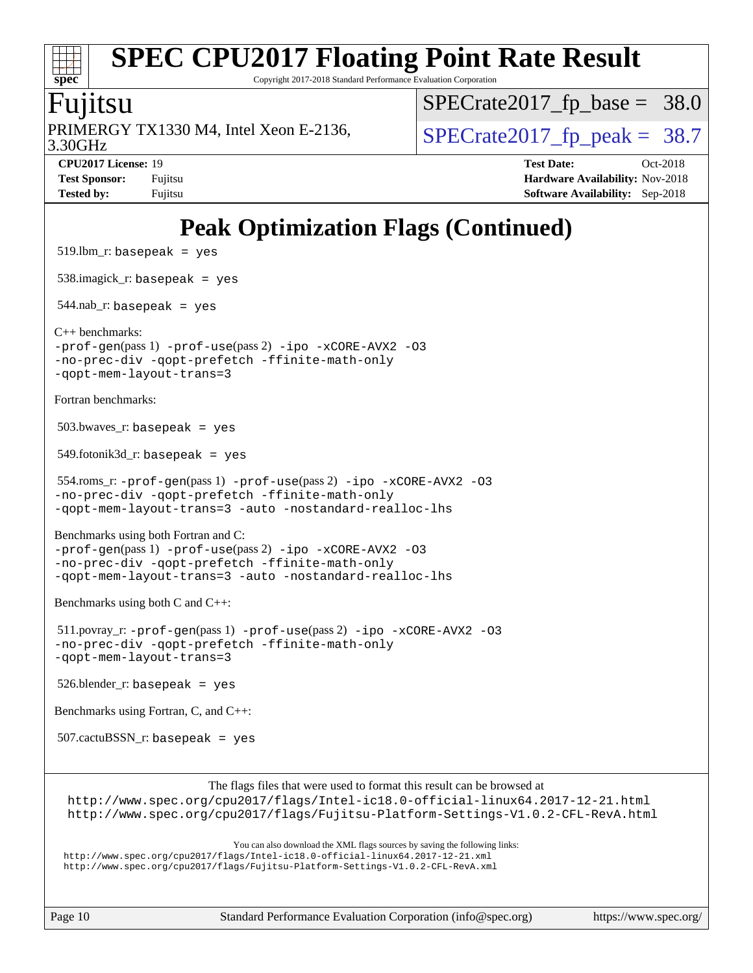# **[spec](http://www.spec.org/)**

# **[SPEC CPU2017 Floating Point Rate Result](http://www.spec.org/auto/cpu2017/Docs/result-fields.html#SPECCPU2017FloatingPointRateResult)**

Copyright 2017-2018 Standard Performance Evaluation Corporation

### Fujitsu

3.30GHz PRIMERGY TX1330 M4, Intel Xeon E-2136,  $\vert$ [SPECrate2017\\_fp\\_peak =](http://www.spec.org/auto/cpu2017/Docs/result-fields.html#SPECrate2017fppeak) 38.7

[SPECrate2017\\_fp\\_base =](http://www.spec.org/auto/cpu2017/Docs/result-fields.html#SPECrate2017fpbase) 38.0

**[CPU2017 License:](http://www.spec.org/auto/cpu2017/Docs/result-fields.html#CPU2017License)** 19 **[Test Date:](http://www.spec.org/auto/cpu2017/Docs/result-fields.html#TestDate)** Oct-2018 **[Test Sponsor:](http://www.spec.org/auto/cpu2017/Docs/result-fields.html#TestSponsor)** Fujitsu **Fundal** Fujitsu **[Hardware Availability:](http://www.spec.org/auto/cpu2017/Docs/result-fields.html#HardwareAvailability)** Nov-2018 **[Tested by:](http://www.spec.org/auto/cpu2017/Docs/result-fields.html#Testedby)** Fujitsu **[Software Availability:](http://www.spec.org/auto/cpu2017/Docs/result-fields.html#SoftwareAvailability)** Sep-2018

### **[Peak Optimization Flags \(Continued\)](http://www.spec.org/auto/cpu2017/Docs/result-fields.html#PeakOptimizationFlags)**

```
519.lbm_r: basepeak = yes
 538.imagick_r: basepeak = yes
 544.nab_r: basepeak = yes
C++ benchmarks: 
-prof-gen(pass 1) -prof-use(pass 2) -ipo -xCORE-AVX2 -O3
-no-prec-div -qopt-prefetch -ffinite-math-only
-qopt-mem-layout-trans=3
Fortran benchmarks: 
503.bwaves r: basepeak = yes
549.fotonik3d<sub>-</sub>r: basepeak = yes
554.roms_r: -prof-use-ipo-xCORE-AVX2-O3-no-prec-div -qopt-prefetch -ffinite-math-only
-qopt-mem-layout-trans=3 -auto -nostandard-realloc-lhs
Benchmarks using both Fortran and C: 
-prof-gen(pass 1) -prof-use(pass 2) -ipo -xCORE-AVX2 -O3
-no-prec-div -qopt-prefetch -ffinite-math-only
-qopt-mem-layout-trans=3 -auto -nostandard-realloc-lhs
Benchmarks using both C and C++: 
 511.povray_r: -prof-gen(pass 1) -prof-use(pass 2) -ipo -xCORE-AVX2 -O3
-no-prec-div -qopt-prefetch -ffinite-math-only
-qopt-mem-layout-trans=3
526.blender_r: basepeak = yes
Benchmarks using Fortran, C, and C++: 
 507.cactuBSSN_r: basepeak = yes
                        The flags files that were used to format this result can be browsed at
  http://www.spec.org/cpu2017/flags/Intel-ic18.0-official-linux64.2017-12-21.html
 http://www.spec.org/cpu2017/flags/Fujitsu-Platform-Settings-V1.0.2-CFL-RevA.html
                            You can also download the XML flags sources by saving the following links:
 http://www.spec.org/cpu2017/flags/Intel-ic18.0-official-linux64.2017-12-21.xml
```
<http://www.spec.org/cpu2017/flags/Fujitsu-Platform-Settings-V1.0.2-CFL-RevA.xml>